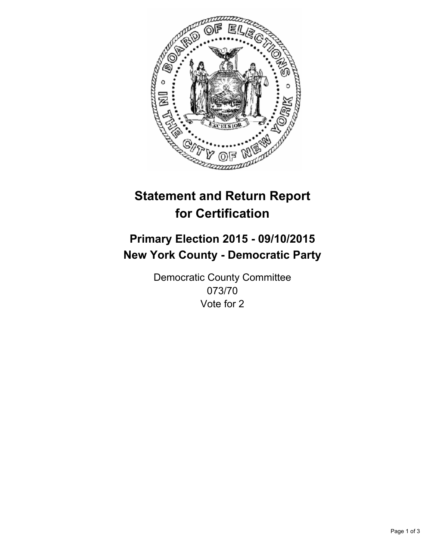

# **Statement and Return Report for Certification**

## **Primary Election 2015 - 09/10/2015 New York County - Democratic Party**

Democratic County Committee 073/70 Vote for 2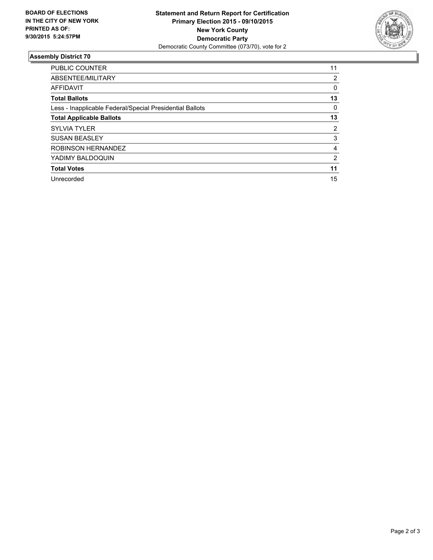

#### **Assembly District 70**

| <b>PUBLIC COUNTER</b>                                    | 11             |
|----------------------------------------------------------|----------------|
| ABSENTEE/MILITARY                                        | 2              |
| <b>AFFIDAVIT</b>                                         | 0              |
| <b>Total Ballots</b>                                     | 13             |
| Less - Inapplicable Federal/Special Presidential Ballots | 0              |
| <b>Total Applicable Ballots</b>                          | 13             |
| <b>SYLVIA TYLER</b>                                      | 2              |
| <b>SUSAN BEASLEY</b>                                     | 3              |
| ROBINSON HERNANDEZ                                       | 4              |
| YADIMY BALDOQUIN                                         | $\overline{2}$ |
| <b>Total Votes</b>                                       | 11             |
| Unrecorded                                               | 15             |